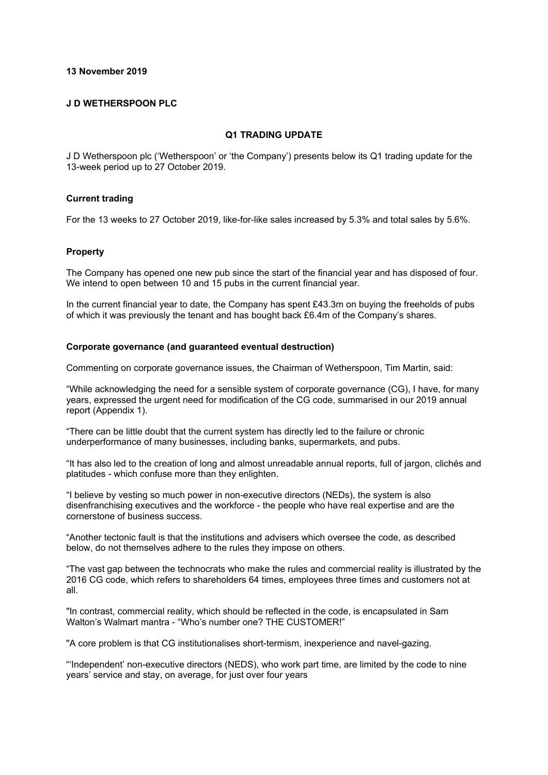#### **13 November 2019**

#### **J D WETHERSPOON PLC**

#### **Q1 TRADING UPDATE**

J D Wetherspoon plc ('Wetherspoon' or 'the Company') presents below its Q1 trading update for the 13-week period up to 27 October 2019.

#### **Current trading**

For the 13 weeks to 27 October 2019, like-for-like sales increased by 5.3% and total sales by 5.6%.

#### **Property**

The Company has opened one new pub since the start of the financial year and has disposed of four. We intend to open between 10 and 15 pubs in the current financial year.

In the current financial year to date, the Company has spent £43.3m on buying the freeholds of pubs of which it was previously the tenant and has bought back £6.4m of the Company's shares.

# **Corporate governance (and guaranteed eventual destruction)**

Commenting on corporate governance issues, the Chairman of Wetherspoon, Tim Martin, said:

"While acknowledging the need for a sensible system of corporate governance (CG), I have, for many years, expressed the urgent need for modification of the CG code, summarised in our 2019 annual report (Appendix 1).

"There can be little doubt that the current system has directly led to the failure or chronic underperformance of many businesses, including banks, supermarkets, and pubs.

"It has also led to the creation of long and almost unreadable annual reports, full of jargon, clichés and platitudes - which confuse more than they enlighten.

"I believe by vesting so much power in non-executive directors (NEDs), the system is also disenfranchising executives and the workforce - the people who have real expertise and are the cornerstone of business success.

"Another tectonic fault is that the institutions and advisers which oversee the code, as described below, do not themselves adhere to the rules they impose on others.

"The vast gap between the technocrats who make the rules and commercial reality is illustrated by the 2016 CG code, which refers to shareholders 64 times, employees three times and customers not at all.

"In contrast, commercial reality, which should be reflected in the code, is encapsulated in Sam Walton's Walmart mantra - "Who's number one? THE CUSTOMER!"

"A core problem is that CG institutionalises short-termism, inexperience and navel-gazing.

"'Independent' non-executive directors (NEDS), who work part time, are limited by the code to nine years' service and stay, on average, for just over four years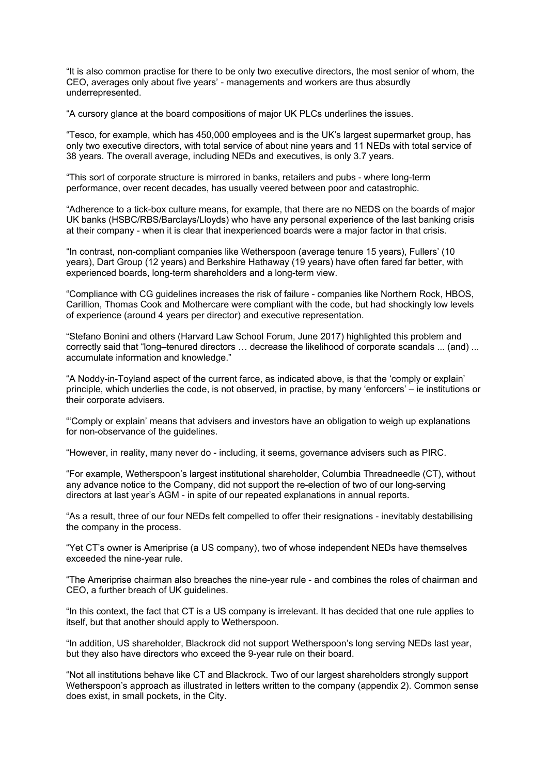"It is also common practise for there to be only two executive directors, the most senior of whom, the CEO, averages only about five years' - managements and workers are thus absurdly underrepresented.

"A cursory glance at the board compositions of major UK PLCs underlines the issues.

"Tesco, for example, which has 450,000 employees and is the UK's largest supermarket group, has only two executive directors, with total service of about nine years and 11 NEDs with total service of 38 years. The overall average, including NEDs and executives, is only 3.7 years.

"This sort of corporate structure is mirrored in banks, retailers and pubs - where long-term performance, over recent decades, has usually veered between poor and catastrophic.

"Adherence to a tick-box culture means, for example, that there are no NEDS on the boards of major UK banks (HSBC/RBS/Barclays/Lloyds) who have any personal experience of the last banking crisis at their company - when it is clear that inexperienced boards were a major factor in that crisis.

"In contrast, non-compliant companies like Wetherspoon (average tenure 15 years), Fullers' (10 years), Dart Group (12 years) and Berkshire Hathaway (19 years) have often fared far better, with experienced boards, long-term shareholders and a long-term view.

"Compliance with CG guidelines increases the risk of failure - companies like Northern Rock, HBOS, Carillion, Thomas Cook and Mothercare were compliant with the code, but had shockingly low levels of experience (around 4 years per director) and executive representation.

"Stefano Bonini and others (Harvard Law School Forum, June 2017) highlighted this problem and correctly said that "long–tenured directors … decrease the likelihood of corporate scandals ... (and) ... accumulate information and knowledge."

"A Noddy-in-Toyland aspect of the current farce, as indicated above, is that the 'comply or explain' principle, which underlies the code, is not observed, in practise, by many 'enforcers' – ie institutions or their corporate advisers.

"'Comply or explain' means that advisers and investors have an obligation to weigh up explanations for non-observance of the guidelines.

"However, in reality, many never do - including, it seems, governance advisers such as PIRC.

"For example, Wetherspoon's largest institutional shareholder, Columbia Threadneedle (CT), without any advance notice to the Company, did not support the re-election of two of our long-serving directors at last year's AGM - in spite of our repeated explanations in annual reports.

"As a result, three of our four NEDs felt compelled to offer their resignations - inevitably destabilising the company in the process.

"Yet CT's owner is Ameriprise (a US company), two of whose independent NEDs have themselves exceeded the nine-year rule.

"The Ameriprise chairman also breaches the nine-year rule - and combines the roles of chairman and CEO, a further breach of UK guidelines.

"In this context, the fact that CT is a US company is irrelevant. It has decided that one rule applies to itself, but that another should apply to Wetherspoon.

"In addition, US shareholder, Blackrock did not support Wetherspoon's long serving NEDs last year, but they also have directors who exceed the 9-year rule on their board.

"Not all institutions behave like CT and Blackrock. Two of our largest shareholders strongly support Wetherspoon's approach as illustrated in letters written to the company (appendix 2). Common sense does exist, in small pockets, in the City.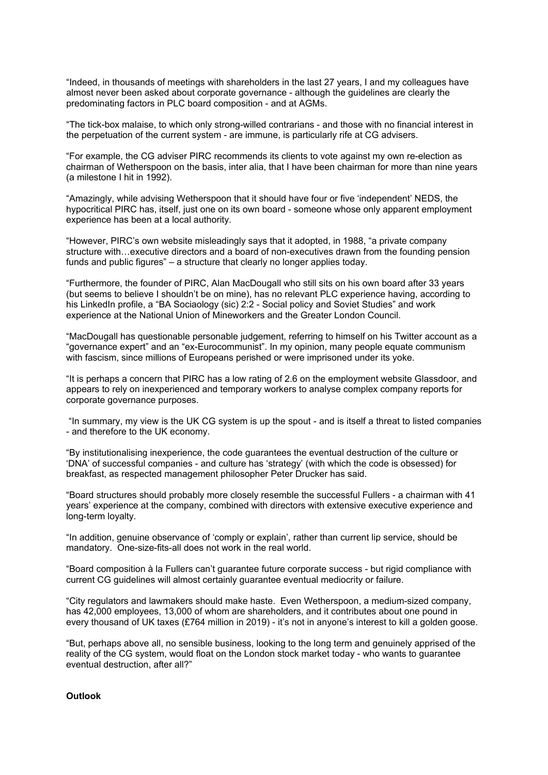"Indeed, in thousands of meetings with shareholders in the last 27 years, I and my colleagues have almost never been asked about corporate governance - although the guidelines are clearly the predominating factors in PLC board composition - and at AGMs.

"The tick-box malaise, to which only strong-willed contrarians - and those with no financial interest in the perpetuation of the current system - are immune, is particularly rife at CG advisers.

"For example, the CG adviser PIRC recommends its clients to vote against my own re-election as chairman of Wetherspoon on the basis, inter alia, that I have been chairman for more than nine years (a milestone I hit in 1992).

"Amazingly, while advising Wetherspoon that it should have four or five 'independent' NEDS, the hypocritical PIRC has, itself, just one on its own board - someone whose only apparent employment experience has been at a local authority.

"However, PIRC's own website misleadingly says that it adopted, in 1988, "a private company structure with…executive directors and a board of non-executives drawn from the founding pension funds and public figures" – a structure that clearly no longer applies today.

"Furthermore, the founder of PIRC, Alan MacDougall who still sits on his own board after 33 years (but seems to believe I shouldn't be on mine), has no relevant PLC experience having, according to his LinkedIn profile, a "BA Sociaology (sic) 2:2 - Social policy and Soviet Studies" and work experience at the National Union of Mineworkers and the Greater London Council.

"MacDougall has questionable personable judgement, referring to himself on his Twitter account as a "governance expert" and an "ex-Eurocommunist". In my opinion, many people equate communism with fascism, since millions of Europeans perished or were imprisoned under its yoke.

"It is perhaps a concern that PIRC has a low rating of 2.6 on the employment website Glassdoor, and appears to rely on inexperienced and temporary workers to analyse complex company reports for corporate governance purposes.

"In summary, my view is the UK CG system is up the spout - and is itself a threat to listed companies - and therefore to the UK economy.

"By institutionalising inexperience, the code guarantees the eventual destruction of the culture or 'DNA' of successful companies - and culture has 'strategy' (with which the code is obsessed) for breakfast, as respected management philosopher Peter Drucker has said.

"Board structures should probably more closely resemble the successful Fullers - a chairman with 41 years' experience at the company, combined with directors with extensive executive experience and long-term loyalty.

"In addition, genuine observance of 'comply or explain', rather than current lip service, should be mandatory. One-size-fits-all does not work in the real world.

"Board composition à la Fullers can't guarantee future corporate success - but rigid compliance with current CG guidelines will almost certainly guarantee eventual mediocrity or failure.

"City regulators and lawmakers should make haste. Even Wetherspoon, a medium-sized company, has 42,000 employees, 13,000 of whom are shareholders, and it contributes about one pound in every thousand of UK taxes (£764 million in 2019) - it's not in anyone's interest to kill a golden goose.

"But, perhaps above all, no sensible business, looking to the long term and genuinely apprised of the reality of the CG system, would float on the London stock market today - who wants to guarantee eventual destruction, after all?"

# **Outlook**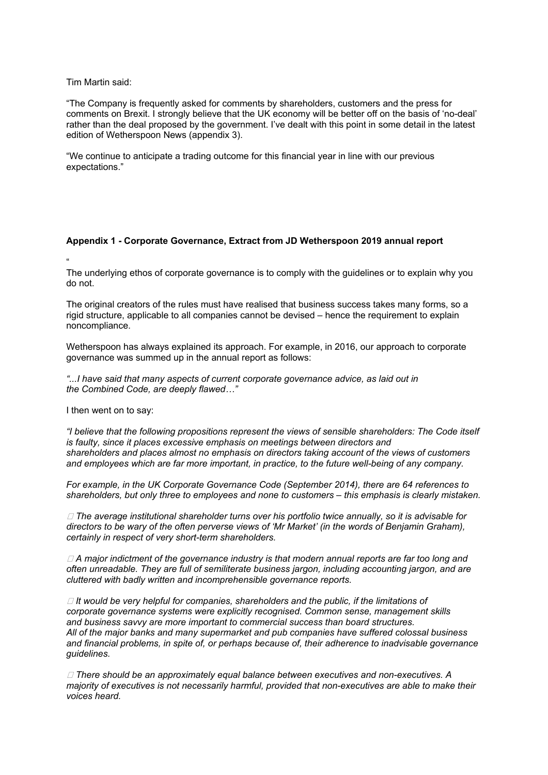Tim Martin said:

"The Company is frequently asked for comments by shareholders, customers and the press for comments on Brexit. I strongly believe that the UK economy will be better off on the basis of 'no-deal' rather than the deal proposed by the government. I've dealt with this point in some detail in the latest edition of Wetherspoon News (appendix 3).

"We continue to anticipate a trading outcome for this financial year in line with our previous expectations."

# **Appendix 1 - Corporate Governance, Extract from JD Wetherspoon 2019 annual report**

"

The underlying ethos of corporate governance is to comply with the guidelines or to explain why you do not.

The original creators of the rules must have realised that business success takes many forms, so a rigid structure, applicable to all companies cannot be devised – hence the requirement to explain noncompliance.

Wetherspoon has always explained its approach. For example, in 2016, our approach to corporate governance was summed up in the annual report as follows:

*"...I have said that many aspects of current corporate governance advice, as laid out in the Combined Code, are deeply flawed…"*

I then went on to say:

*"I believe that the following propositions represent the views of sensible shareholders: The Code itself is faulty, since it places excessive emphasis on meetings between directors and shareholders and places almost no emphasis on directors taking account of the views of customers and employees which are far more important, in practice, to the future well-being of any company.*

*For example, in the UK Corporate Governance Code (September 2014), there are 64 references to shareholders, but only three to employees and none to customers – this emphasis is clearly mistaken.*

 *The average institutional shareholder turns over his portfolio twice annually, so it is advisable for directors to be wary of the often perverse views of 'Mr Market' (in the words of Benjamin Graham), certainly in respect of very short-term shareholders.*

 *A major indictment of the governance industry is that modern annual reports are far too long and often unreadable. They are full of semiliterate business jargon, including accounting jargon, and are cluttered with badly written and incomprehensible governance reports.*

 *It would be very helpful for companies, shareholders and the public, if the limitations of corporate governance systems were explicitly recognised. Common sense, management skills and business savvy are more important to commercial success than board structures. All of the major banks and many supermarket and pub companies have suffered colossal business and financial problems, in spite of, or perhaps because of, their adherence to inadvisable governance guidelines.*

 *There should be an approximately equal balance between executives and non-executives. A majority of executives is not necessarily harmful, provided that non-executives are able to make their voices heard.*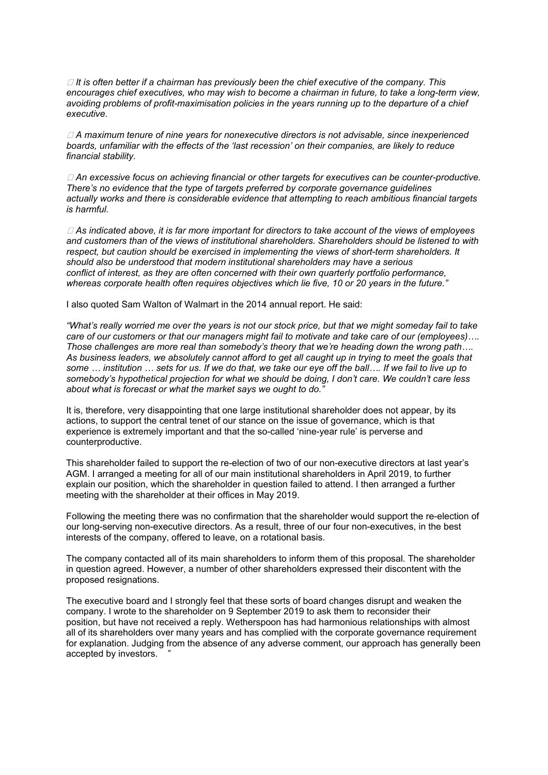*It is often better if a chairman has previously been the chief executive of the company. This encourages chief executives, who may wish to become a chairman in future, to take a long-term view, avoiding problems of profit-maximisation policies in the years running up to the departure of a chief executive.*

 *A maximum tenure of nine years for nonexecutive directors is not advisable, since inexperienced boards, unfamiliar with the effects of the 'last recession' on their companies, are likely to reduce financial stability.*

 *An excessive focus on achieving financial or other targets for executives can be counter-productive. There's no evidence that the type of targets preferred by corporate governance guidelines actually works and there is considerable evidence that attempting to reach ambitious financial targets is harmful.*

 *As indicated above, it is far more important for directors to take account of the views of employees and customers than of the views of institutional shareholders. Shareholders should be listened to with respect, but caution should be exercised in implementing the views of short-term shareholders. It should also be understood that modern institutional shareholders may have a serious conflict of interest, as they are often concerned with their own quarterly portfolio performance, whereas corporate health often requires objectives which lie five, 10 or 20 years in the future."*

I also quoted Sam Walton of Walmart in the 2014 annual report. He said:

*"What's really worried me over the years is not our stock price, but that we might someday fail to take care of our customers or that our managers might fail to motivate and take care of our (employees)…. Those challenges are more real than somebody's theory that we're heading down the wrong path…. As business leaders, we absolutely cannot afford to get all caught up in trying to meet the goals that some … institution … sets for us. If we do that, we take our eye off the ball…. If we fail to live up to somebody's hypothetical projection for what we should be doing, I don't care. We couldn't care less about what is forecast or what the market says we ought to do."*

It is, therefore, very disappointing that one large institutional shareholder does not appear, by its actions, to support the central tenet of our stance on the issue of governance, which is that experience is extremely important and that the so-called 'nine-year rule' is perverse and counterproductive.

This shareholder failed to support the re-election of two of our non-executive directors at last year's AGM. I arranged a meeting for all of our main institutional shareholders in April 2019, to further explain our position, which the shareholder in question failed to attend. I then arranged a further meeting with the shareholder at their offices in May 2019.

Following the meeting there was no confirmation that the shareholder would support the re-election of our long-serving non-executive directors. As a result, three of our four non-executives, in the best interests of the company, offered to leave, on a rotational basis.

The company contacted all of its main shareholders to inform them of this proposal. The shareholder in question agreed. However, a number of other shareholders expressed their discontent with the proposed resignations.

The executive board and I strongly feel that these sorts of board changes disrupt and weaken the company. I wrote to the shareholder on 9 September 2019 to ask them to reconsider their position, but have not received a reply. Wetherspoon has had harmonious relationships with almost all of its shareholders over many years and has complied with the corporate governance requirement for explanation. Judging from the absence of any adverse comment, our approach has generally been accepted by investors.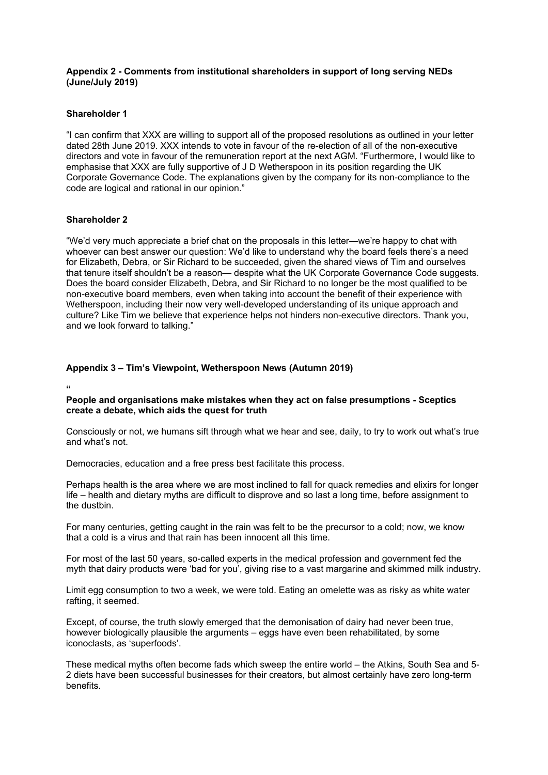# **Appendix 2 - Comments from institutional shareholders in support of long serving NEDs (June/July 2019)**

### **Shareholder 1**

"I can confirm that XXX are willing to support all of the proposed resolutions as outlined in your letter dated 28th June 2019. XXX intends to vote in favour of the re-election of all of the non-executive directors and vote in favour of the remuneration report at the next AGM. "Furthermore, I would like to emphasise that XXX are fully supportive of J D Wetherspoon in its position regarding the UK Corporate Governance Code. The explanations given by the company for its non-compliance to the code are logical and rational in our opinion."

# **Shareholder 2**

"We'd very much appreciate a brief chat on the proposals in this letter—we're happy to chat with whoever can best answer our question: We'd like to understand why the board feels there's a need for Elizabeth, Debra, or Sir Richard to be succeeded, given the shared views of Tim and ourselves that tenure itself shouldn't be a reason— despite what the UK Corporate Governance Code suggests. Does the board consider Elizabeth, Debra, and Sir Richard to no longer be the most qualified to be non-executive board members, even when taking into account the benefit of their experience with Wetherspoon, including their now very well-developed understanding of its unique approach and culture? Like Tim we believe that experience helps not hinders non-executive directors. Thank you, and we look forward to talking."

# **Appendix 3 – Tim's Viewpoint, Wetherspoon News (Autumn 2019)**

**"**

# **People and organisations make mistakes when they act on false presumptions - Sceptics create a debate, which aids the quest for truth**

Consciously or not, we humans sift through what we hear and see, daily, to try to work out what's true and what's not.

Democracies, education and a free press best facilitate this process.

Perhaps health is the area where we are most inclined to fall for quack remedies and elixirs for longer life – health and dietary myths are difficult to disprove and so last a long time, before assignment to the dustbin.

For many centuries, getting caught in the rain was felt to be the precursor to a cold; now, we know that a cold is a virus and that rain has been innocent all this time.

For most of the last 50 years, so-called experts in the medical profession and government fed the myth that dairy products were 'bad for you', giving rise to a vast margarine and skimmed milk industry.

Limit egg consumption to two a week, we were told. Eating an omelette was as risky as white water rafting, it seemed.

Except, of course, the truth slowly emerged that the demonisation of dairy had never been true, however biologically plausible the arguments – eggs have even been rehabilitated, by some iconoclasts, as 'superfoods'.

These medical myths often become fads which sweep the entire world – the Atkins, South Sea and 5- 2 diets have been successful businesses for their creators, but almost certainly have zero long-term benefits.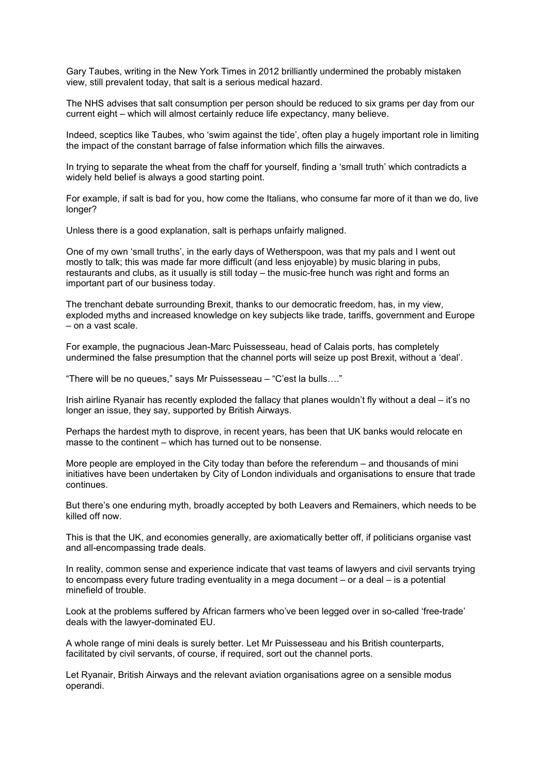Gary Taubes, writing in the New York Times in 2012 brilliantly undermined the probably mistaken view, still prevalent today, that salt is a serious medical hazard.

The NHS advises that salt consumption per person should be reduced to six grams per day from our current eight – which will almost certainly reduce life expectancy, many believe.

Indeed, sceptics like Taubes, who 'swim against the tide', often play a hugely important role in limiting the impact of the constant barrage of false information which fills the airwaves.

In trying to separate the wheat from the chaff for yourself, finding a 'small truth' which contradicts a widely held belief is always a good starting point.

For example, if salt is bad for you, how come the Italians, who consume far more of it than we do, live longer?

Unless there is a good explanation, salt is perhaps unfairly maligned.

One of my own 'small truths', in the early days of Wetherspoon, was that my pals and I went out mostly to talk; this was made far more difficult (and less enjoyable) by music blaring in pubs, restaurants and clubs, as it usually is still today – the music-free hunch was right and forms an important part of our business today.

The trenchant debate surrounding Brexit, thanks to our democratic freedom, has, in my view, exploded myths and increased knowledge on key subjects like trade, tariffs, government and Europe – on a vast scale.

For example, the pugnacious Jean-Marc Puissesseau, head of Calais ports, has completely undermined the false presumption that the channel ports will seize up post Brexit, without a 'deal'.

"There will be no queues," says Mr Puissesseau – "C'est la bulls…."

Irish airline Ryanair has recently exploded the fallacy that planes wouldn't fly without a deal – it's no longer an issue, they say, supported by British Airways.

Perhaps the hardest myth to disprove, in recent years, has been that UK banks would relocate en masse to the continent – which has turned out to be nonsense.

More people are employed in the City today than before the referendum – and thousands of mini initiatives have been undertaken by City of London individuals and organisations to ensure that trade continues.

But there's one enduring myth, broadly accepted by both Leavers and Remainers, which needs to be killed off now.

This is that the UK, and economies generally, are axiomatically better off, if politicians organise vast and all-encompassing trade deals.

In reality, common sense and experience indicate that vast teams of lawyers and civil servants trying to encompass every future trading eventuality in a mega document – or a deal – is a potential minefield of trouble.

Look at the problems suffered by African farmers who've been legged over in so-called 'free-trade' deals with the lawyer-dominated EU.

A whole range of mini deals is surely better. Let Mr Puissesseau and his British counterparts, facilitated by civil servants, of course, if required, sort out the channel ports.

Let Ryanair, British Airways and the relevant aviation organisations agree on a sensible modus operandi.